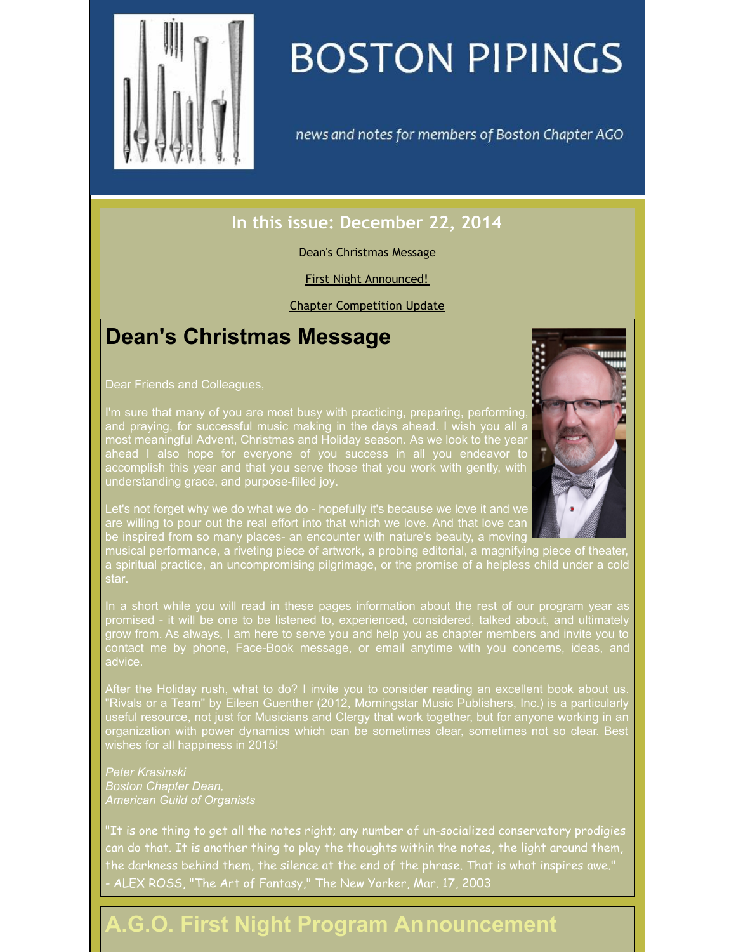<span id="page-0-0"></span>

# **BOSTON PIPINGS**

news and notes for members of Boston Chapter AGO

### **In this issue: December 22, 2014**

### Dean's [Christmas](#page-0-0) Message

### First Night [Announced!](#page-0-0)

Chapter [Competition](#page-0-0) Update

## **Dean's Christmas Message**

Dear Friends and Colleagues,

I'm sure that many of you are most busy with practicing, preparing, performing, and praying, for successful music making in the days ahead. I wish you all a most meaningful Advent, Christmas and Holiday season. As we look to the year ahead I also hope for everyone of you success in all you endeavor to accomplish this year and that you serve those that you work with gently, with understanding grace, and purpose-filled joy.



musical performance, a riveting piece of artwork, a probing editorial, a magnifying piece of theater a spiritual practice, an uncompromising pilgrimage, or the promise of a helpless child under a cold

In a short while you will read in these pages information about the rest of our program year as promised - it will be one to be listened to, experienced, considered, talked about, and ultimately grow from. As always, I am here to serve you and help you as chapter members and invite you to contact me by phone, Face-Book message, or email anytime with you concerns, ideas, and advice.

After the Holiday rush, what to do? I invite you to consider reading an excellent book about us. "Rivals or a Team" by Eileen Guenther (2012, Morningstar Music Publishers, Inc.) is a particularly useful resource, not just for Musicians and Clergy that work together, but for anyone working in an organization with power dynamics which can be sometimes clear, sometimes not so clear. Best wishes for all happiness in 2015!

*Peter Krasinski Boston Chapter Dean, American Guild of Organists*

"It is one thing to get all the notes right; any number of un-socialized conservatory prodigies can do that. It is another thing to play the thoughts within the notes, the light around them, the darkness behind them, the silence at the end of the phrase. That is what inspires awe." - ALEX ROSS, "The Art of Fantasy," The New Yorker, Mar. 17, 2003

# **A.G.O. First Night Program Announcement**

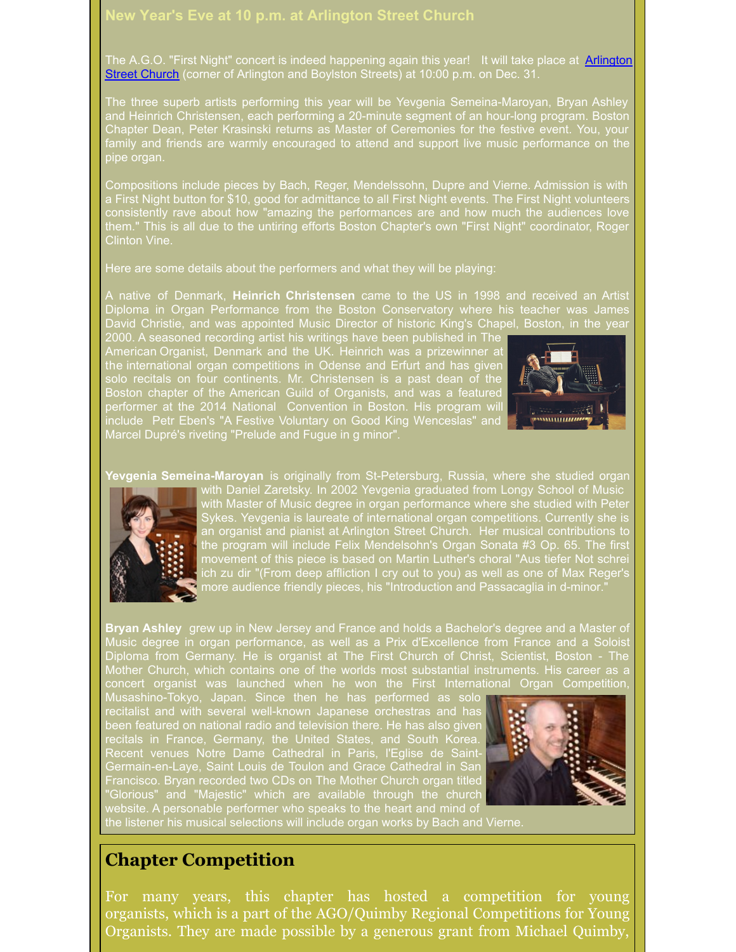#### **New Year's Eve at 10 p.m. at Arlington Street Church**

The A.G.O. "First Night" concert is indeed [happening](http://www.ascboston.org) again this year! It will take place at Arlington Street Church (corner of Arlington and Boylston Streets) at 10:00 p.m. on Dec. 31.

The three superb artists performing this year will be Yevgenia Semeina-Maroyan, Bryan Ashley and Heinrich Christensen, each performing a 20-minute segment of an hour-long program. Boston Chapter Dean, Peter Krasinski returns as Master of Ceremonies for the festive event. You, your family and friends are warmly encouraged to attend and support live music performance on the pipe organ.

Compositions include pieces by Bach, Reger, Mendelssohn, Dupre and Vierne. Admission is with a First Night button for \$10, good for admittance to all First Night events. The First Night volunteers consistently rave about how "amazing the performances are and how much the audiences love them." This is all due to the untiring efforts Boston Chapter's own "First Night" coordinator, Roge Clinton Vine.

Here are some details about the performers and what they will be playing:

A native of Denmark, **Heinrich Christensen** came to the US in 1998 and received an Artist Diploma in Organ Performance from the Boston Conservatory where his teacher was James David Christie, and was appointed Music Director of historic King's Chapel, Boston, in the year

2000. A seasoned recording artist his writings have been published in The American Organist, Denmark and the UK. Heinrich was a prizewinner at the international organ competitions in Odense and Erfurt and has given solo recitals on four continents. Mr. Christensen is a past dean of the Boston chapter of the American Guild of Organists, and was a featured performer at the 2014 National Convention in Boston. His program will include Petr Eben's "A Festive Voluntary on Good King Wenceslas" and Marcel Dupré's riveting "Prelude and Fugue in g minor".



**Yevgenia Semeina-Maroyan** is originally from St-Petersburg, Russia, where she studied organ



with Daniel Zaretsky. In 2002 Yevgenia graduated from Longy School of Music with Master of Music degree in organ performance where she studied with Peter Sykes. Yevgenia is laureate of international organ competitions. Currently she is an organist and pianist at Arlington Street Church. Her musical contributions to the program will include Felix Mendelsohn's Organ Sonata #3 Op. 65. The first movement of this piece is based on Martin Luther's choral "Aus tiefer Not schrei ich zu dir "(From deep affliction I cry out to you) as well as one of Max Reger's more audience friendly pieces, his "Introduction and Passacaglia in d-minor."

**Bryan Ashley** grew up in New Jersey and France and holds a Bachelor's degree and a Master of Music degree in organ performance, as well as a Prix d'Excellence from France and a Soloist Diploma from Germany. He is organist at The First Church of Christ, Scientist, Boston - The Mother Church, which contains one of the worlds most substantial instruments. His career as a concert organist was launched when he won the First International Organ Competition,

Musashino-Tokyo, Japan. Since then he has performed as solo recitalist and with several well-known Japanese orchestras and has been featured on national radio and television there. He has also given recitals in France, Germany, the United States, and South Korea. Recent venues Notre Dame Cathedral in Paris, l'Eglise de Saint-Germain-en-Laye, Saint Louis de Toulon and Grace Cathedral in San Francisco. Bryan recorded two CDs on The Mother Church organ titled "Glorious" and "Majestic" which are available through the church website. A personable performer who speaks to the heart and mind of



the listener his musical selections will include organ works by Bach and Vierne.

### **Chapter Competition**

For many years, this chapter has hosted a competition for young organists, which is a part of the AGO/Quimby Regional Competitions for Young Organists. They are made possible by a generous grant from Michael Quimby,